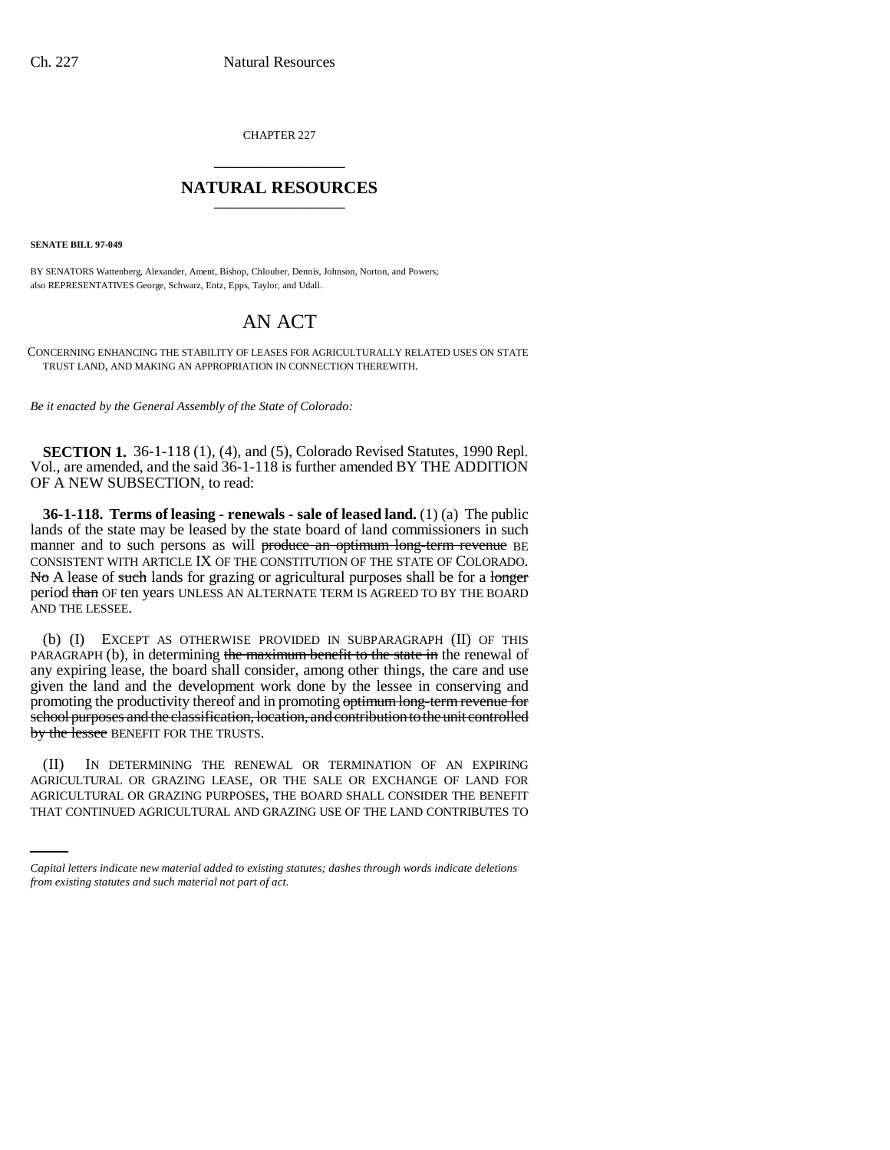CHAPTER 227 \_\_\_\_\_\_\_\_\_\_\_\_\_\_\_

## **NATURAL RESOURCES** \_\_\_\_\_\_\_\_\_\_\_\_\_\_\_

**SENATE BILL 97-049**

BY SENATORS Wattenberg, Alexander, Ament, Bishop, Chlouber, Dennis, Johnson, Norton, and Powers; also REPRESENTATIVES George, Schwarz, Entz, Epps, Taylor, and Udall.

## AN ACT

CONCERNING ENHANCING THE STABILITY OF LEASES FOR AGRICULTURALLY RELATED USES ON STATE TRUST LAND, AND MAKING AN APPROPRIATION IN CONNECTION THEREWITH.

*Be it enacted by the General Assembly of the State of Colorado:*

**SECTION 1.** 36-1-118 (1), (4), and (5), Colorado Revised Statutes, 1990 Repl. Vol., are amended, and the said 36-1-118 is further amended BY THE ADDITION OF A NEW SUBSECTION, to read:

**36-1-118. Terms of leasing - renewals - sale of leased land.** (1) (a) The public lands of the state may be leased by the state board of land commissioners in such manner and to such persons as will produce an optimum long-term revenue BE CONSISTENT WITH ARTICLE IX OF THE CONSTITUTION OF THE STATE OF COLORADO. No A lease of such lands for grazing or agricultural purposes shall be for a longer period than OF ten years UNLESS AN ALTERNATE TERM IS AGREED TO BY THE BOARD AND THE LESSEE.

(b) (I) EXCEPT AS OTHERWISE PROVIDED IN SUBPARAGRAPH (II) OF THIS PARAGRAPH (b), in determining the maximum benefit to the state in the renewal of any expiring lease, the board shall consider, among other things, the care and use given the land and the development work done by the lessee in conserving and promoting the productivity thereof and in promoting optimum long-term revenue for school purposes and the classification, location, and contribution to the unit controlled by the lessee BENEFIT FOR THE TRUSTS.

AGRICULTURAL OR GRAZING LEASE, OR THE SALE OR EXCHANGE OF LAND FOR (II) IN DETERMINING THE RENEWAL OR TERMINATION OF AN EXPIRING AGRICULTURAL OR GRAZING PURPOSES, THE BOARD SHALL CONSIDER THE BENEFIT THAT CONTINUED AGRICULTURAL AND GRAZING USE OF THE LAND CONTRIBUTES TO

*Capital letters indicate new material added to existing statutes; dashes through words indicate deletions from existing statutes and such material not part of act.*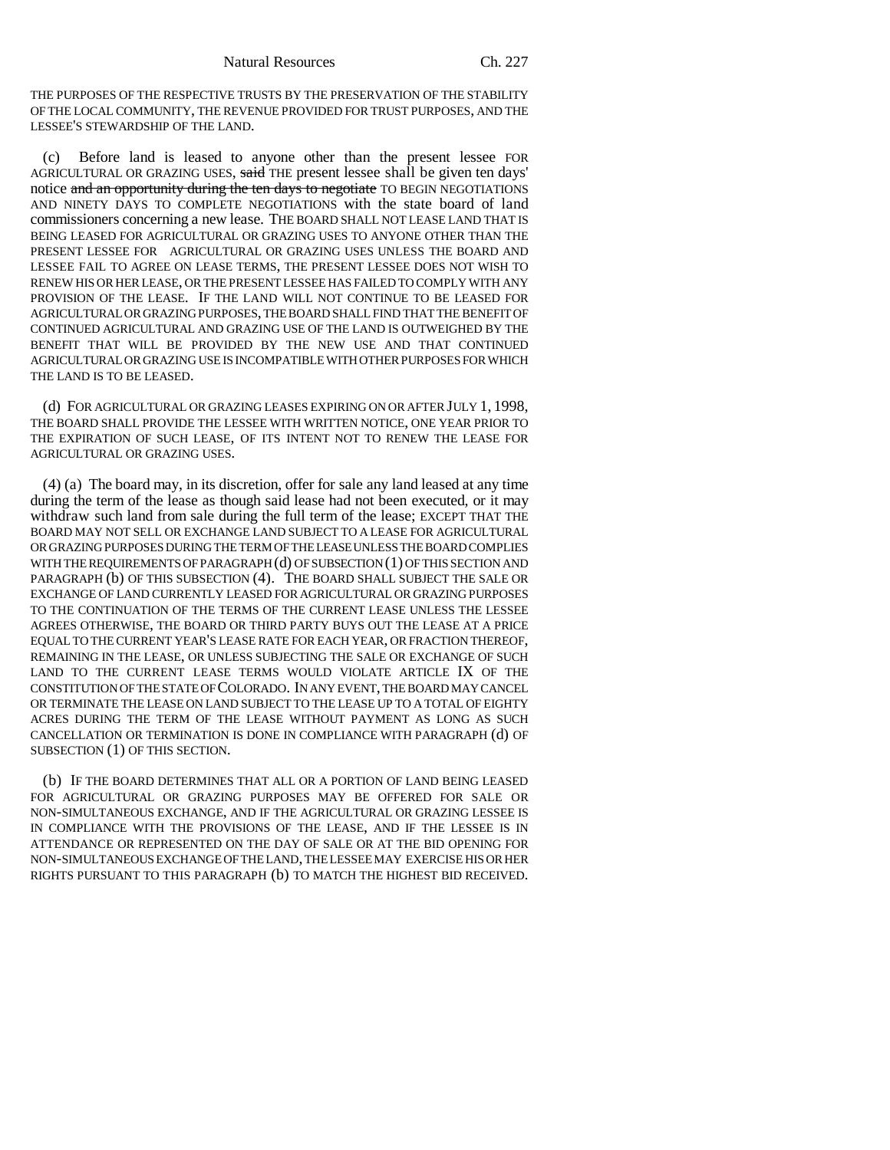Natural Resources Ch. 227

THE PURPOSES OF THE RESPECTIVE TRUSTS BY THE PRESERVATION OF THE STABILITY OF THE LOCAL COMMUNITY, THE REVENUE PROVIDED FOR TRUST PURPOSES, AND THE LESSEE'S STEWARDSHIP OF THE LAND.

(c) Before land is leased to anyone other than the present lessee FOR AGRICULTURAL OR GRAZING USES, said THE present lessee shall be given ten days' notice and an opportunity during the ten days to negotiate TO BEGIN NEGOTIATIONS AND NINETY DAYS TO COMPLETE NEGOTIATIONS with the state board of land commissioners concerning a new lease. THE BOARD SHALL NOT LEASE LAND THAT IS BEING LEASED FOR AGRICULTURAL OR GRAZING USES TO ANYONE OTHER THAN THE PRESENT LESSEE FOR AGRICULTURAL OR GRAZING USES UNLESS THE BOARD AND LESSEE FAIL TO AGREE ON LEASE TERMS, THE PRESENT LESSEE DOES NOT WISH TO RENEW HIS OR HER LEASE, OR THE PRESENT LESSEE HAS FAILED TO COMPLY WITH ANY PROVISION OF THE LEASE. IF THE LAND WILL NOT CONTINUE TO BE LEASED FOR AGRICULTURAL OR GRAZING PURPOSES, THE BOARD SHALL FIND THAT THE BENEFIT OF CONTINUED AGRICULTURAL AND GRAZING USE OF THE LAND IS OUTWEIGHED BY THE BENEFIT THAT WILL BE PROVIDED BY THE NEW USE AND THAT CONTINUED AGRICULTURAL OR GRAZING USE IS INCOMPATIBLE WITH OTHER PURPOSES FOR WHICH THE LAND IS TO BE LEASED.

(d) FOR AGRICULTURAL OR GRAZING LEASES EXPIRING ON OR AFTER JULY 1, 1998, THE BOARD SHALL PROVIDE THE LESSEE WITH WRITTEN NOTICE, ONE YEAR PRIOR TO THE EXPIRATION OF SUCH LEASE, OF ITS INTENT NOT TO RENEW THE LEASE FOR AGRICULTURAL OR GRAZING USES.

(4) (a) The board may, in its discretion, offer for sale any land leased at any time during the term of the lease as though said lease had not been executed, or it may withdraw such land from sale during the full term of the lease; EXCEPT THAT THE BOARD MAY NOT SELL OR EXCHANGE LAND SUBJECT TO A LEASE FOR AGRICULTURAL OR GRAZING PURPOSES DURING THE TERM OF THE LEASE UNLESS THE BOARD COMPLIES WITH THE REQUIREMENTS OF PARAGRAPH (d) OF SUBSECTION (1) OF THIS SECTION AND PARAGRAPH (b) OF THIS SUBSECTION (4). THE BOARD SHALL SUBJECT THE SALE OR EXCHANGE OF LAND CURRENTLY LEASED FOR AGRICULTURAL OR GRAZING PURPOSES TO THE CONTINUATION OF THE TERMS OF THE CURRENT LEASE UNLESS THE LESSEE AGREES OTHERWISE, THE BOARD OR THIRD PARTY BUYS OUT THE LEASE AT A PRICE EQUAL TO THE CURRENT YEAR'S LEASE RATE FOR EACH YEAR, OR FRACTION THEREOF, REMAINING IN THE LEASE, OR UNLESS SUBJECTING THE SALE OR EXCHANGE OF SUCH LAND TO THE CURRENT LEASE TERMS WOULD VIOLATE ARTICLE IX OF THE CONSTITUTION OF THE STATE OF COLORADO. IN ANY EVENT, THE BOARD MAY CANCEL OR TERMINATE THE LEASE ON LAND SUBJECT TO THE LEASE UP TO A TOTAL OF EIGHTY ACRES DURING THE TERM OF THE LEASE WITHOUT PAYMENT AS LONG AS SUCH CANCELLATION OR TERMINATION IS DONE IN COMPLIANCE WITH PARAGRAPH (d) OF SUBSECTION (1) OF THIS SECTION.

(b) IF THE BOARD DETERMINES THAT ALL OR A PORTION OF LAND BEING LEASED FOR AGRICULTURAL OR GRAZING PURPOSES MAY BE OFFERED FOR SALE OR NON-SIMULTANEOUS EXCHANGE, AND IF THE AGRICULTURAL OR GRAZING LESSEE IS IN COMPLIANCE WITH THE PROVISIONS OF THE LEASE, AND IF THE LESSEE IS IN ATTENDANCE OR REPRESENTED ON THE DAY OF SALE OR AT THE BID OPENING FOR NON-SIMULTANEOUS EXCHANGE OF THE LAND, THE LESSEE MAY EXERCISE HIS OR HER RIGHTS PURSUANT TO THIS PARAGRAPH (b) TO MATCH THE HIGHEST BID RECEIVED.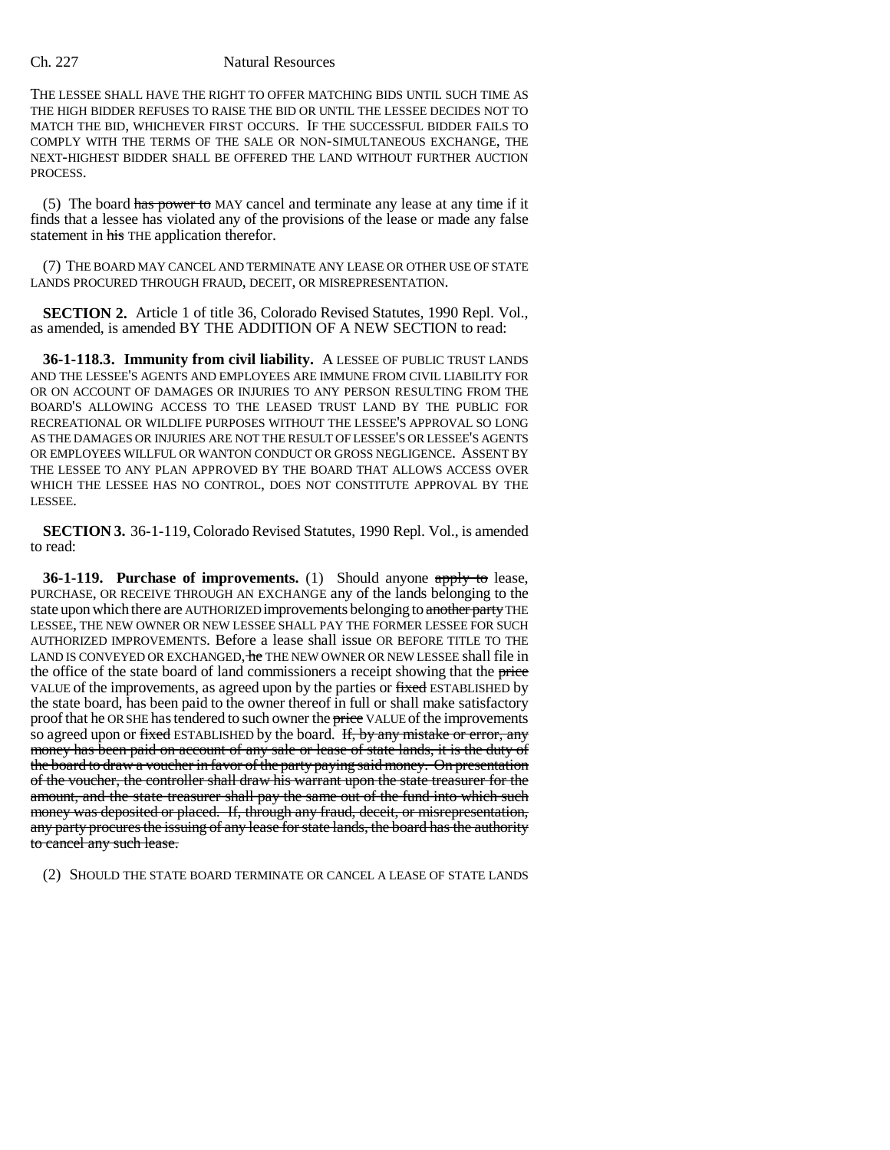## Ch. 227 Natural Resources

THE LESSEE SHALL HAVE THE RIGHT TO OFFER MATCHING BIDS UNTIL SUCH TIME AS THE HIGH BIDDER REFUSES TO RAISE THE BID OR UNTIL THE LESSEE DECIDES NOT TO MATCH THE BID, WHICHEVER FIRST OCCURS. IF THE SUCCESSFUL BIDDER FAILS TO COMPLY WITH THE TERMS OF THE SALE OR NON-SIMULTANEOUS EXCHANGE, THE NEXT-HIGHEST BIDDER SHALL BE OFFERED THE LAND WITHOUT FURTHER AUCTION PROCESS.

(5) The board has power to MAY cancel and terminate any lease at any time if it finds that a lessee has violated any of the provisions of the lease or made any false statement in his THE application therefor.

(7) THE BOARD MAY CANCEL AND TERMINATE ANY LEASE OR OTHER USE OF STATE LANDS PROCURED THROUGH FRAUD, DECEIT, OR MISREPRESENTATION.

**SECTION 2.** Article 1 of title 36, Colorado Revised Statutes, 1990 Repl. Vol., as amended, is amended BY THE ADDITION OF A NEW SECTION to read:

**36-1-118.3. Immunity from civil liability.** A LESSEE OF PUBLIC TRUST LANDS AND THE LESSEE'S AGENTS AND EMPLOYEES ARE IMMUNE FROM CIVIL LIABILITY FOR OR ON ACCOUNT OF DAMAGES OR INJURIES TO ANY PERSON RESULTING FROM THE BOARD'S ALLOWING ACCESS TO THE LEASED TRUST LAND BY THE PUBLIC FOR RECREATIONAL OR WILDLIFE PURPOSES WITHOUT THE LESSEE'S APPROVAL SO LONG AS THE DAMAGES OR INJURIES ARE NOT THE RESULT OF LESSEE'S OR LESSEE'S AGENTS OR EMPLOYEES WILLFUL OR WANTON CONDUCT OR GROSS NEGLIGENCE. ASSENT BY THE LESSEE TO ANY PLAN APPROVED BY THE BOARD THAT ALLOWS ACCESS OVER WHICH THE LESSEE HAS NO CONTROL, DOES NOT CONSTITUTE APPROVAL BY THE LESSEE.

**SECTION 3.** 36-1-119, Colorado Revised Statutes, 1990 Repl. Vol., is amended to read:

**36-1-119. Purchase of improvements.** (1) Should anyone apply to lease, PURCHASE, OR RECEIVE THROUGH AN EXCHANGE any of the lands belonging to the state upon which there are AUTHORIZED improvements belonging to another party THE LESSEE, THE NEW OWNER OR NEW LESSEE SHALL PAY THE FORMER LESSEE FOR SUCH AUTHORIZED IMPROVEMENTS. Before a lease shall issue OR BEFORE TITLE TO THE LAND IS CONVEYED OR EXCHANGED, he THE NEW OWNER OR NEW LESSEE shall file in the office of the state board of land commissioners a receipt showing that the price VALUE of the improvements, as agreed upon by the parties or fixed ESTABLISHED by the state board, has been paid to the owner thereof in full or shall make satisfactory proof that he OR SHE has tendered to such owner the price VALUE of the improvements so agreed upon or fixed ESTABLISHED by the board. If, by any mistake or error, any money has been paid on account of any sale or lease of state lands, it is the duty of the board to draw a voucher in favor of the party paying said money. On presentation of the voucher, the controller shall draw his warrant upon the state treasurer for the amount, and the state treasurer shall pay the same out of the fund into which such money was deposited or placed. If, through any fraud, deceit, or misrepresentation, any party procures the issuing of any lease for state lands, the board has the authority to cancel any such lease.

(2) SHOULD THE STATE BOARD TERMINATE OR CANCEL A LEASE OF STATE LANDS